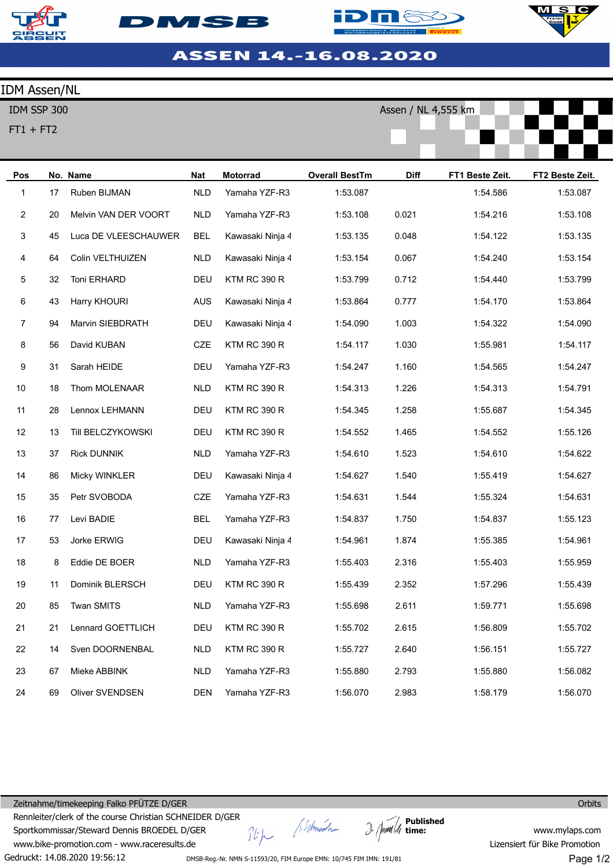





Assen / NL 4,555 km



## ASSEN 14.-16.08.2020

## IDM Assen/NL

IDM SSP 300

FT1 + FT2

| Pos            |    | No. Name               | <b>Nat</b> | <b>Motorrad</b>     | <b>Overall BestTm</b> | <b>Diff</b> | FT1 Beste Zeit. | FT2 Beste Zeit. |
|----------------|----|------------------------|------------|---------------------|-----------------------|-------------|-----------------|-----------------|
| $\mathbf{1}$   | 17 | Ruben BIJMAN           | <b>NLD</b> | Yamaha YZF-R3       | 1:53.087              |             | 1:54.586        | 1:53.087        |
| 2              | 20 | Melvin VAN DER VOORT   | <b>NLD</b> | Yamaha YZF-R3       | 1:53.108              | 0.021       | 1:54.216        | 1:53.108        |
| 3              | 45 | Luca DE VLEESCHAUWER   | BEL        | Kawasaki Ninja 4    | 1:53.135              | 0.048       | 1:54.122        | 1:53.135        |
| 4              | 64 | Colin VELTHUIZEN       | <b>NLD</b> | Kawasaki Ninja 4    | 1:53.154              | 0.067       | 1:54.240        | 1:53.154        |
| 5              | 32 | Toni ERHARD            | DEU        | <b>KTM RC 390 R</b> | 1:53.799              | 0.712       | 1:54.440        | 1:53.799        |
| 6              | 43 | Harry KHOURI           | AUS        | Kawasaki Ninja 4    | 1:53.864              | 0.777       | 1:54.170        | 1:53.864        |
| $\overline{7}$ | 94 | Marvin SIEBDRATH       | DEU        | Kawasaki Ninja 4    | 1:54.090              | 1.003       | 1:54.322        | 1:54.090        |
| 8              | 56 | David KUBAN            | CZE        | <b>KTM RC 390 R</b> | 1:54.117              | 1.030       | 1:55.981        | 1:54.117        |
| 9              | 31 | Sarah HEIDE            | DEU        | Yamaha YZF-R3       | 1:54.247              | 1.160       | 1:54.565        | 1:54.247        |
| 10             | 18 | Thom MOLENAAR          | <b>NLD</b> | <b>KTM RC 390 R</b> | 1:54.313              | 1.226       | 1:54.313        | 1:54.791        |
| 11             | 28 | Lennox LEHMANN         | DEU        | <b>KTM RC 390 R</b> | 1:54.345              | 1.258       | 1:55.687        | 1:54.345        |
| 12             | 13 | Till BELCZYKOWSKI      | DEU        | <b>KTM RC 390 R</b> | 1:54.552              | 1.465       | 1:54.552        | 1:55.126        |
| 13             | 37 | <b>Rick DUNNIK</b>     | <b>NLD</b> | Yamaha YZF-R3       | 1:54.610              | 1.523       | 1:54.610        | 1:54.622        |
| 14             | 86 | Micky WINKLER          | DEU        | Kawasaki Ninja 4    | 1:54.627              | 1.540       | 1:55.419        | 1:54.627        |
| 15             | 35 | Petr SVOBODA           | <b>CZE</b> | Yamaha YZF-R3       | 1:54.631              | 1.544       | 1:55.324        | 1:54.631        |
| $16\,$         | 77 | Levi BADIE             | <b>BEL</b> | Yamaha YZF-R3       | 1:54.837              | 1.750       | 1:54.837        | 1:55.123        |
| 17             | 53 | Jorke ERWIG            | DEU        | Kawasaki Ninja 4    | 1:54.961              | 1.874       | 1:55.385        | 1:54.961        |
| 18             | 8  | Eddie DE BOER          | <b>NLD</b> | Yamaha YZF-R3       | 1:55.403              | 2.316       | 1:55.403        | 1:55.959        |
| 19             | 11 | Dominik BLERSCH        | DEU        | <b>KTM RC 390 R</b> | 1:55.439              | 2.352       | 1:57.296        | 1:55.439        |
| $20\,$         | 85 | <b>Twan SMITS</b>      | <b>NLD</b> | Yamaha YZF-R3       | 1:55.698              | 2.611       | 1:59.771        | 1:55.698        |
| 21             | 21 | Lennard GOETTLICH      | DEU        | <b>KTM RC 390 R</b> | 1:55.702              | 2.615       | 1:56.809        | 1:55.702        |
| 22             | 14 | Sven DOORNENBAL        | <b>NLD</b> | <b>KTM RC 390 R</b> | 1:55.727              | 2.640       | 1:56.151        | 1:55.727        |
| 23             | 67 | Mieke ABBINK           | <b>NLD</b> | Yamaha YZF-R3       | 1:55.880              | 2.793       | 1:55.880        | 1:56.082        |
| 24             | 69 | <b>Oliver SVENDSEN</b> | <b>DEN</b> | Yamaha YZF-R3       | 1:56.070              | 2.983       | 1:58.179        | 1:56.070        |

Gedruckt: 14.08.2020 19:56:12 Zeitnahme/timekeeping Falko PFÜTZE D/GER Rennleiter/clerk of the course Christian SCHNEIDER D/GER Sportkommissar/Steward Dennis BROEDEL D/GER www.bike-promotion.com - www.raceresults.de

Stp (Schnech

**Published time:**

**Orbits** 

www.mylaps.com Lizensiert für Bike Promotion Page 1/2

DMSB-Reg.-Nr. NMN S-11593/20, FIM Europe EMN: 10/745 FIM IMN: 191/81